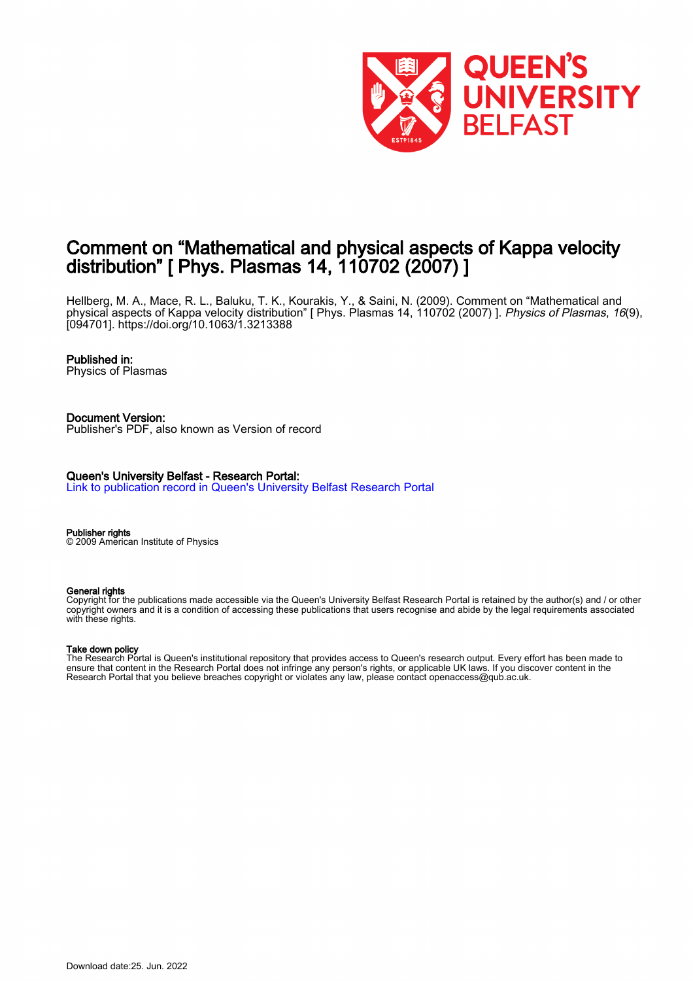

# Comment on "Mathematical and physical aspects of Kappa velocity distribution" [ Phys. Plasmas 14, 110702 (2007) ]

Hellberg, M. A., Mace, R. L., Baluku, T. K., Kourakis, Y., & Saini, N. (2009). Comment on "Mathematical and physical aspects of Kappa velocity distribution" [ Phys. Plasmas 14, 110702 (2007) ]. *Physics of Plasmas, 16*(9), [094701].<https://doi.org/10.1063/1.3213388>

### Published in:

Physics of Plasmas

Document Version: Publisher's PDF, also known as Version of record

Queen's University Belfast - Research Portal: [Link to publication record in Queen's University Belfast Research Portal](https://pure.qub.ac.uk/en/publications/92c8bb82-368f-4b87-8918-ebae4adbbc07)

Publisher rights © 2009 American Institute of Physics

#### General rights

Copyright for the publications made accessible via the Queen's University Belfast Research Portal is retained by the author(s) and / or other copyright owners and it is a condition of accessing these publications that users recognise and abide by the legal requirements associated with these rights.

#### Take down policy

The Research Portal is Queen's institutional repository that provides access to Queen's research output. Every effort has been made to ensure that content in the Research Portal does not infringe any person's rights, or applicable UK laws. If you discover content in the Research Portal that you believe breaches copyright or violates any law, please contact openaccess@qub.ac.uk.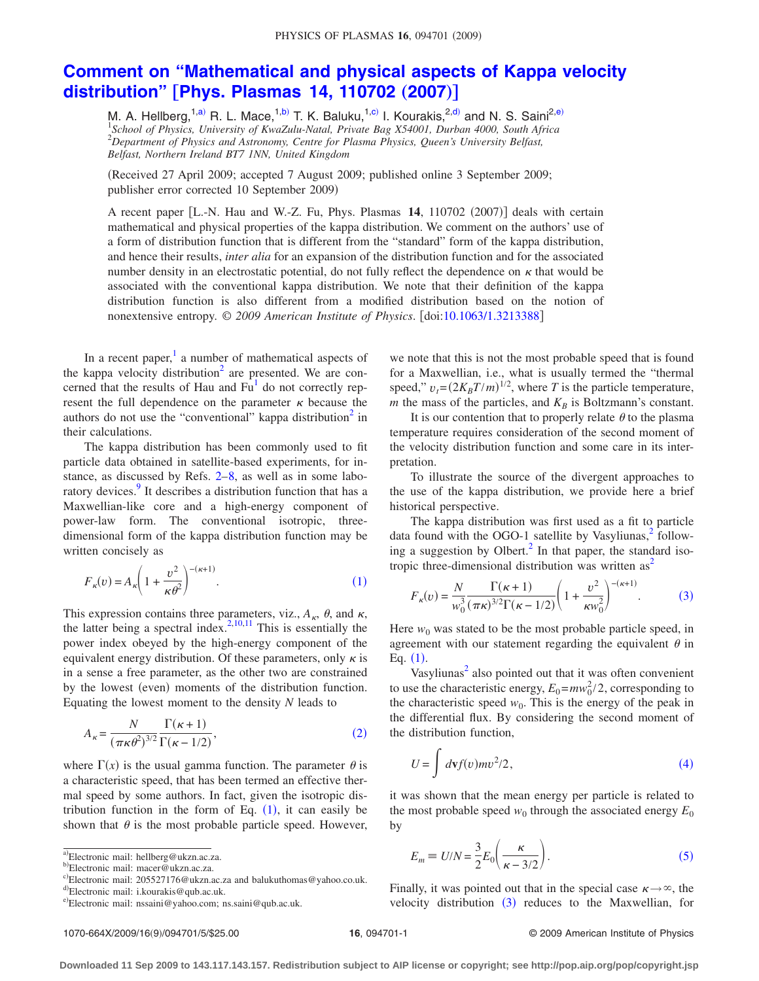## **[Comment on "Mathematical and physical aspects of Kappa velocity](http://dx.doi.org/10.1063/1.3213388) distribution"** [[Phys. Plasmas 14, 110702](http://dx.doi.org/10.1063/1.3213388) (2007)]

M. A. Hellberg,<sup>1[,a](#page-1-0))</sup> R. L. Mace,<sup>1[,b](#page-1-1))</sup> T. K. Baluku,<sup>1[,c](#page-1-2))</sup> I. Kourakis,<sup>2[,d](#page-1-3))</sup> and N. S. Saini<sup>2[,e](#page-1-4))</sup> <sup>1</sup> School of Physics, University of KwaZulu-Natal, Private Bag X54001, Durban 4000, South Africa<br><sup>2</sup> Department of Physics and Astronomy, Centre for Plasma Physics, Queen's University Belfast, *Belfast, Northern Ireland BT7 1NN, United Kingdom*

Received 27 April 2009; accepted 7 August 2009; published online 3 September 2009; publisher error corrected 10 September 2009)

A recent paper [L.-N. Hau and W.-Z. Fu, Phys. Plasmas 14, 110702 (2007)] deals with certain mathematical and physical properties of the kappa distribution. We comment on the authors' use of a form of distribution function that is different from the "standard" form of the kappa distribution, and hence their results, *inter alia* for an expansion of the distribution function and for the associated number density in an electrostatic potential, do not fully reflect the dependence on  $\kappa$  that would be associated with the conventional kappa distribution. We note that their definition of the kappa distribution function is also different from a modified distribution based on the notion of nonextensive entropy. © *2009 American Institute of Physics*. doi[:10.1063/1.3213388](http://dx.doi.org/10.1063/1.3213388)

In a recent paper, $\frac{1}{1}$  a number of mathematical aspects of the kappa velocity distribution<sup>2</sup> are presented. We are concerned that the results of Hau and  $Fu<sup>1</sup>$  do not correctly represent the full dependence on the parameter  $\kappa$  because the authors do not use the "conventional" kappa distribution<sup>2</sup> in their calculations.

The kappa distribution has been commonly used to fit particle data obtained in satellite-based experiments, for instance, as discussed by Refs. [2–](#page-5-1)[8,](#page-5-2) as well as in some laboratory devices.<sup>9</sup> It describes a distribution function that has a Maxwellian-like core and a high-energy component of power-law form. The conventional isotropic, threedimensional form of the kappa distribution function may be written concisely as

<span id="page-1-5"></span>
$$
F_{\kappa}(v) = A_{\kappa} \left( 1 + \frac{v^2}{\kappa \theta^2} \right)^{-(\kappa+1)}.
$$
 (1)

This expression contains three parameters, viz.,  $A_{\kappa}$ ,  $\theta$ , and  $\kappa$ , the latter being a spectral index.<sup>2,[10](#page-5-4)[,11](#page-5-5)</sup> This is essentially the power index obeyed by the high-energy component of the equivalent energy distribution. Of these parameters, only  $\kappa$  is in a sense a free parameter, as the other two are constrained by the lowest (even) moments of the distribution function. Equating the lowest moment to the density *N* leads to

<span id="page-1-6"></span>
$$
A_{\kappa} = \frac{N}{(\pi \kappa \theta^2)^{3/2}} \frac{\Gamma(\kappa + 1)}{\Gamma(\kappa - 1/2)},
$$
\n(2)

where  $\Gamma(x)$  is the usual gamma function. The parameter  $\theta$  is a characteristic speed, that has been termed an effective thermal speed by some authors. In fact, given the isotropic distribution function in the form of Eq.  $(1)$  $(1)$  $(1)$ , it can easily be shown that  $\theta$  is the most probable particle speed. However,

we note that this is not the most probable speed that is found for a Maxwellian, i.e., what is usually termed the "thermal speed,"  $v_t = (2K_B T/m)^{1/2}$ , where *T* is the particle temperature, *m* the mass of the particles, and  $K_B$  is Boltzmann's constant.

It is our contention that to properly relate  $\theta$  to the plasma temperature requires consideration of the second moment of the velocity distribution function and some care in its interpretation.

To illustrate the source of the divergent approaches to the use of the kappa distribution, we provide here a brief historical perspective.

The kappa distribution was first used as a fit to particle data found with the OGO-1 satellite by Vasyliunas, $^{2}$  following a suggestion by Olbert. $^2$  In that paper, the standard isotropic three-dimensional distribution was written  $as<sup>2</sup>$ 

<span id="page-1-7"></span>
$$
F_{\kappa}(v) = \frac{N}{w_0^3} \frac{\Gamma(\kappa + 1)}{(\pi \kappa)^{3/2} \Gamma(\kappa - 1/2)} \left(1 + \frac{v^2}{\kappa w_0^2}\right)^{-(\kappa + 1)}.\tag{3}
$$

Here  $w_0$  was stated to be the most probable particle speed, in agreement with our statement regarding the equivalent  $\theta$  in Eq.  $(1)$  $(1)$  $(1)$ .

Vasyliunas<sup>2</sup> also pointed out that it was often convenient to use the characteristic energy,  $E_0 = m w_0^2/2$ , corresponding to the characteristic speed  $w_0$ . This is the energy of the peak in the differential flux. By considering the second moment of the distribution function,

<span id="page-1-8"></span>
$$
U = \int d\mathbf{v} f(v) m v^2 / 2, \qquad (4)
$$

it was shown that the mean energy per particle is related to the most probable speed  $w_0$  through the associated energy  $E_0$ by

<span id="page-1-9"></span>
$$
E_m \equiv U/N = \frac{3}{2} E_0 \left( \frac{\kappa}{\kappa - 3/2} \right). \tag{5}
$$

Finally, it was pointed out that in the special case  $\kappa \rightarrow \infty$ , the velocity distribution  $(3)$  $(3)$  $(3)$  reduces to the Maxwellian, for

<span id="page-1-0"></span>a)Electronic mail: hellberg@ukzn.ac.za.

<span id="page-1-1"></span>b)<br>Electronic mail: macer@ukzn.ac.za.

<span id="page-1-2"></span>c)Electronic mail: 205527176@ukzn.ac.za and balukuthomas@yahoo.co.uk.

<span id="page-1-3"></span><sup>&</sup>lt;sup>d)</sup>Electronic mail: i.kourakis@qub.ac.uk.

<span id="page-1-4"></span>e)Electronic mail: nssaini@yahoo.com; ns.saini@qub.ac.uk.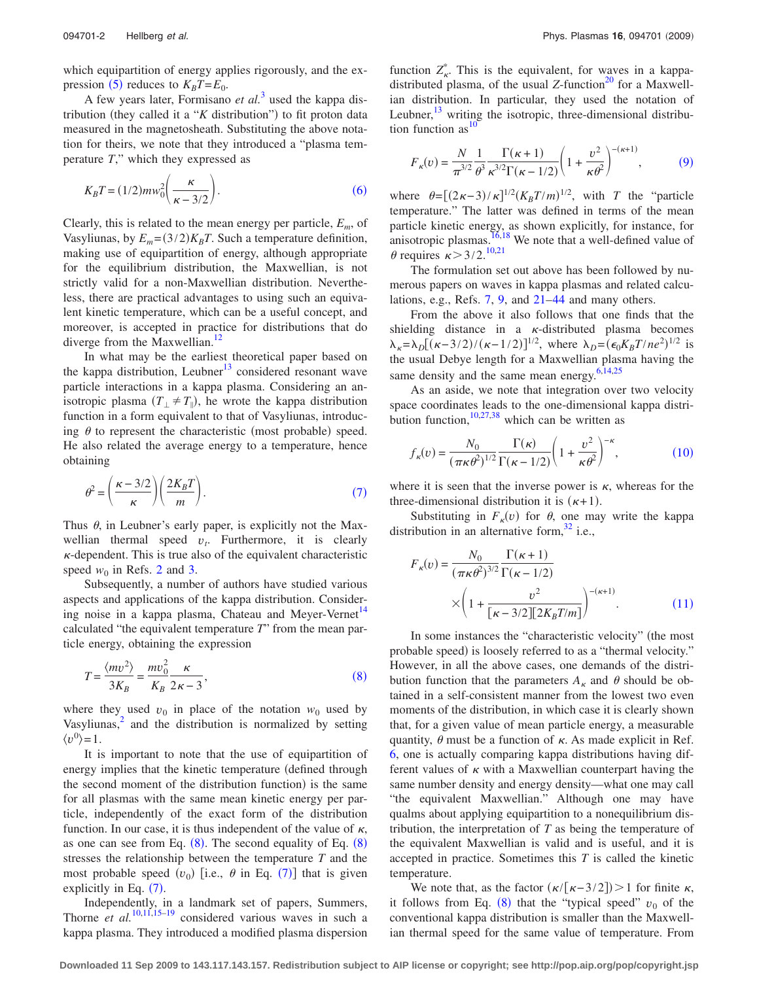which equipartition of energy applies rigorously, and the ex-pression ([5](#page-1-9)) reduces to  $K_B T = E_0$ .

A few years later, Formisano *et al.*[3](#page-5-6) used the kappa distribution (they called it a " $K$  distribution") to fit proton data measured in the magnetosheath. Substituting the above notation for theirs, we note that they introduced a "plasma temperature *T*," which they expressed as

<span id="page-2-0"></span>
$$
K_B T = (1/2) m w_0^2 \left(\frac{\kappa}{\kappa - 3/2}\right). \tag{6}
$$

Clearly, this is related to the mean energy per particle, *Em*, of Vasyliunas, by  $E_m = (3/2)K_B T$ . Such a temperature definition, making use of equipartition of energy, although appropriate for the equilibrium distribution, the Maxwellian, is not strictly valid for a non-Maxwellian distribution. Nevertheless, there are practical advantages to using such an equivalent kinetic temperature, which can be a useful concept, and moreover, is accepted in practice for distributions that do diverge from the Maxwellian.<sup>12</sup>

In what may be the earliest theoretical paper based on the kappa distribution, Leubner<sup>13</sup> considered resonant wave particle interactions in a kappa plasma. Considering an anisotropic plasma  $(T_{\perp} \neq T_{\parallel})$ , he wrote the kappa distribution function in a form equivalent to that of Vasyliunas, introducing  $\theta$  to represent the characteristic (most probable) speed. He also related the average energy to a temperature, hence obtaining

<span id="page-2-1"></span>
$$
\theta^2 = \left(\frac{\kappa - 3/2}{\kappa}\right) \left(\frac{2K_B T}{m}\right). \tag{7}
$$

Thus  $\theta$ , in Leubner's early paper, is explicitly not the Maxwellian thermal speed  $v_t$ . Furthermore, it is clearly  $\kappa$ -dependent. This is true also of the equivalent characteristic speed  $w_0$  in Refs. [2](#page-5-1) and [3.](#page-5-6)

Subsequently, a number of authors have studied various aspects and applications of the kappa distribution. Considering noise in a kappa plasma, Chateau and Meyer-Vernet<sup>14</sup> calculated "the equivalent temperature *T*" from the mean particle energy, obtaining the expression

<span id="page-2-2"></span>
$$
T = \frac{\langle mv^2 \rangle}{3K_B} = \frac{mv_0^2}{K_B} \frac{\kappa}{2\kappa - 3},\tag{8}
$$

where they used  $v_0$  in place of the notation  $w_0$  used by Vasyliunas, $<sup>2</sup>$  and the distribution is normalized by setting</sup>  $\langle v^0 \rangle = 1$ .

It is important to note that the use of equipartition of energy implies that the kinetic temperature (defined through the second moment of the distribution function) is the same for all plasmas with the same mean kinetic energy per particle, independently of the exact form of the distribution function. In our case, it is thus independent of the value of  $\kappa$ , as one can see from Eq.  $(8)$  $(8)$  $(8)$ . The second equality of Eq.  $(8)$ stresses the relationship between the temperature *T* and the most probable speed  $(v_0)$  [i.e.,  $\theta$  in Eq. ([7](#page-2-1))] that is given explicitly in Eq.  $(7)$  $(7)$  $(7)$ .

Independently, in a landmark set of papers, Summers, Thorne *et al.*<sup>[10](#page-5-4)[,11,](#page-5-5)[15–](#page-5-10)[19](#page-5-11)</sup> considered various waves in such a kappa plasma. They introduced a modified plasma dispersion

function  $Z_{\kappa}^*$ . This is the equivalent, for waves in a kappadistributed plasma, of the usual  $Z$ -function<sup>20</sup> for a Maxwellian distribution. In particular, they used the notation of Leubner, $13$  writing the isotropic, three-dimensional distribution function as  $\frac{10}{2}$ 

<span id="page-2-3"></span>
$$
F_{\kappa}(v) = \frac{N}{\pi^{3/2}} \frac{1}{\theta^3} \frac{\Gamma(\kappa + 1)}{\kappa^{3/2} \Gamma(\kappa - 1/2)} \left( 1 + \frac{v^2}{\kappa \theta^2} \right)^{-(\kappa + 1)},\tag{9}
$$

where  $\theta = \left[\frac{2\kappa - 3}{\kappa}\right]^{1/2} \left(\frac{K_B T}{m}\right)^{1/2}$ , with *T* the "particle temperature." The latter was defined in terms of the mean particle kinetic energy, as shown explicitly, for instance, for anisotropic plasmas. $16,18$  $16,18$  We note that a well-defined value of  $\theta$  requires  $\kappa > 3/2$ .<sup>[10,](#page-5-4)[21](#page-5-15)</sup>

The formulation set out above has been followed by numerous papers on waves in kappa plasmas and related calculations, e.g., Refs. [7,](#page-5-16) [9,](#page-5-3) and [21–](#page-5-15)[44](#page-5-17) and many others.

From the above it also follows that one finds that the shielding distance in a  $\kappa$ -distributed plasma becomes  $\lambda_{\kappa} = \lambda_{D} [(\kappa - 3/2) / (\kappa - 1/2)]^{1/2}$ , where  $\lambda_{D} = (\epsilon_{0} K_{B} T / ne^{2})^{1/2}$  is the usual Debye length for a Maxwellian plasma having the same density and the same mean energy. $6,14,25$  $6,14,25$  $6,14,25$ 

As an aside, we note that integration over two velocity space coordinates leads to the one-dimensional kappa distribution function,  $10,27,38$  $10,27,38$  $10,27,38$  which can be written as

<span id="page-2-4"></span>
$$
f_{\kappa}(v) = \frac{N_0}{(\pi \kappa \theta^2)^{1/2}} \frac{\Gamma(\kappa)}{\Gamma(\kappa - 1/2)} \left(1 + \frac{v^2}{\kappa \theta^2}\right)^{-\kappa},\tag{10}
$$

where it is seen that the inverse power is  $\kappa$ , whereas for the three-dimensional distribution it is  $(\kappa+1)$ .

Substituting in  $F_k(v)$  for  $\theta$ , one may write the kappa distribution in an alternative form,  $32$  i.e.,

<span id="page-2-5"></span>
$$
F_{\kappa}(v) = \frac{N_0}{(\pi \kappa \theta^2)^{3/2}} \frac{\Gamma(\kappa + 1)}{\Gamma(\kappa - 1/2)}
$$

$$
\times \left(1 + \frac{v^2}{\left[\kappa - 3/2\right]\left[2K_B T/m\right]}\right)^{-(\kappa + 1)}.\tag{11}
$$

In some instances the "characteristic velocity" (the most probable speed) is loosely referred to as a "thermal velocity." However, in all the above cases, one demands of the distribution function that the parameters  $A_{\kappa}$  and  $\theta$  should be obtained in a self-consistent manner from the lowest two even moments of the distribution, in which case it is clearly shown that, for a given value of mean particle energy, a measurable quantity,  $\theta$  must be a function of  $\kappa$ . As made explicit in Ref. [6,](#page-5-18) one is actually comparing kappa distributions having different values of  $\kappa$  with a Maxwellian counterpart having the same number density and energy density—what one may call "the equivalent Maxwellian." Although one may have qualms about applying equipartition to a nonequilibrium distribution, the interpretation of *T* as being the temperature of the equivalent Maxwellian is valid and is useful, and it is accepted in practice. Sometimes this *T* is called the kinetic temperature.

We note that, as the factor  $(\kappa/[\kappa-3/2]) > 1$  for finite  $\kappa$ , it follows from Eq.  $(8)$  $(8)$  $(8)$  that the "typical speed"  $v_0$  of the conventional kappa distribution is smaller than the Maxwellian thermal speed for the same value of temperature. From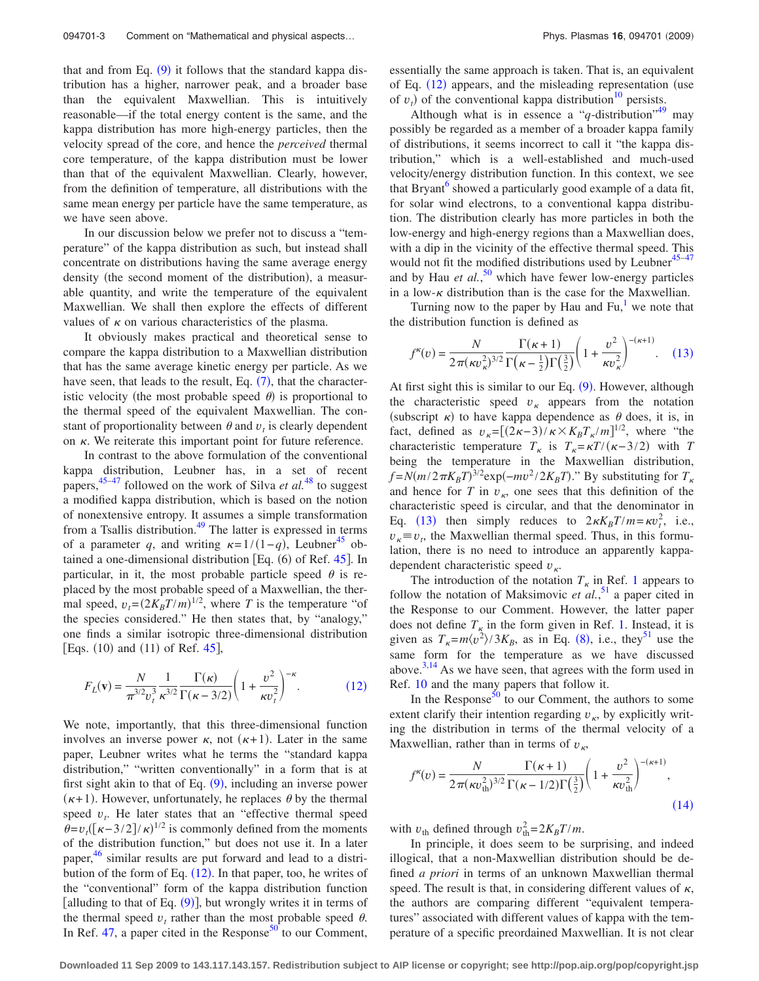that and from Eq. ([9](#page-2-3)) it follows that the standard kappa distribution has a higher, narrower peak, and a broader base than the equivalent Maxwellian. This is intuitively reasonable—if the total energy content is the same, and the kappa distribution has more high-energy particles, then the velocity spread of the core, and hence the *perceived* thermal core temperature, of the kappa distribution must be lower than that of the equivalent Maxwellian. Clearly, however, from the definition of temperature, all distributions with the same mean energy per particle have the same temperature, as we have seen above.

In our discussion below we prefer not to discuss a "temperature" of the kappa distribution as such, but instead shall concentrate on distributions having the same average energy density (the second moment of the distribution), a measurable quantity, and write the temperature of the equivalent Maxwellian. We shall then explore the effects of different values of  $\kappa$  on various characteristics of the plasma.

It obviously makes practical and theoretical sense to compare the kappa distribution to a Maxwellian distribution that has the same average kinetic energy per particle. As we have seen, that leads to the result, Eq.  $(7)$  $(7)$  $(7)$ , that the characteristic velocity (the most probable speed  $\theta$ ) is proportional to the thermal speed of the equivalent Maxwellian. The constant of proportionality between  $\theta$  and  $v_t$  is clearly dependent on  $\kappa$ . We reiterate this important point for future reference.

In contrast to the above formulation of the conventional kappa distribution, Leubner has, in a set of recent papers, [45–](#page-5-23)[47](#page-5-24) followed on the work of Silva *et al.*[48](#page-5-25) to suggest a modified kappa distribution, which is based on the notion of nonextensive entropy. It assumes a simple transformation from a Tsallis distribution[.49](#page-5-26) The latter is expressed in terms of a parameter *q*, and writing  $\kappa = 1/(1-q)$ , Leubner<sup>45</sup> obtained a one-dimensional distribution [Eq.  $(6)$  of Ref. [45](#page-5-23)]. In particular, in it, the most probable particle speed  $\theta$  is replaced by the most probable speed of a Maxwellian, the thermal speed,  $v_t = (2K_B T/m)^{1/2}$ , where *T* is the temperature "of the species considered." He then states that, by "analogy," one finds a similar isotropic three-dimensional distribution [Eqs.  $(10)$  and  $(11)$  of Ref. [45](#page-5-23)],

<span id="page-3-0"></span>
$$
F_L(\mathbf{v}) = \frac{N}{\pi^{3/2} v_t^3} \frac{1}{\kappa^{3/2}} \frac{\Gamma(\kappa)}{\Gamma(\kappa - 3/2)} \left(1 + \frac{v^2}{\kappa v_t^2}\right)^{-\kappa}.
$$
 (12)

We note, importantly, that this three-dimensional function involves an inverse power  $\kappa$ , not  $(\kappa+1)$ . Later in the same paper, Leubner writes what he terms the "standard kappa distribution," "written conventionally" in a form that is at first sight akin to that of Eq.  $(9)$  $(9)$  $(9)$ , including an inverse power  $(\kappa+1)$ . However, unfortunately, he replaces  $\theta$  by the thermal speed  $v_t$ . He later states that an "effective thermal speed  $\theta = v_t ([\kappa - 3/2]/\kappa)^{1/2}$  is commonly defined from the moments of the distribution function," but does not use it. In a later paper,<sup>[46](#page-5-27)</sup> similar results are put forward and lead to a distribution of the form of Eq.  $(12)$  $(12)$  $(12)$ . In that paper, too, he writes of the "conventional" form of the kappa distribution function [alluding to that of Eq.  $(9)$  $(9)$  $(9)$ ], but wrongly writes it in terms of the thermal speed  $v_t$  rather than the most probable speed  $\theta$ . In Ref. [47,](#page-5-24) a paper cited in the Response<sup>50</sup> to our Comment,

Although what is in essence a " $q$ -distribution"<sup>49</sup> may possibly be regarded as a member of a broader kappa family of distributions, it seems incorrect to call it "the kappa distribution," which is a well-established and much-used velocity/energy distribution function. In this context, we see that Bryant<sup>o</sup> showed a particularly good example of a data fit, for solar wind electrons, to a conventional kappa distribution. The distribution clearly has more particles in both the low-energy and high-energy regions than a Maxwellian does, with a dip in the vicinity of the effective thermal speed. This would not fit the modified distributions used by Leubner $45-47$  $45-47$ and by Hau *et al.*,<sup>[50](#page-5-28)</sup> which have fewer low-energy particles in a low- $\kappa$  distribution than is the case for the Maxwellian.

Turning now to the paper by Hau and  $Fu<sub>1</sub><sup>1</sup>$  we note that the distribution function is defined as

<span id="page-3-1"></span>
$$
f^{\kappa}(v) = \frac{N}{2\pi(\kappa v_{\kappa}^2)^{3/2}} \frac{\Gamma(\kappa+1)}{\Gamma(\kappa-\frac{1}{2})\Gamma(\frac{3}{2})} \left(1+\frac{v^2}{\kappa v_{\kappa}^2}\right)^{-(\kappa+1)}.\tag{13}
$$

At first sight this is similar to our Eq.  $(9)$  $(9)$  $(9)$ . However, although the characteristic speed  $v_{\kappa}$  appears from the notation (subscript  $\kappa$ ) to have kappa dependence as  $\theta$  does, it is, in fact, defined as  $v_{\kappa} = [(2\kappa - 3)/\kappa \times K_B T_{\kappa}/m]^{1/2}$ , where "the characteristic temperature  $T_{\kappa}$  is  $T_{\kappa} = \kappa T/(\kappa - 3/2)$  with *T* being the temperature in the Maxwellian distribution,  $f = N(m/2\pi K_B T)^{3/2} \exp(-mv^2/2K_B T)$ ." By substituting for  $T_K$ and hence for *T* in  $v_{\kappa}$ , one sees that this definition of the characteristic speed is circular, and that the denominator in Eq. ([13](#page-3-1)) then simply reduces to  $2\kappa K_B T/m = \kappa v_t^2$ , i.e.,  $v_k \equiv v_t$ , the Maxwellian thermal speed. Thus, in this formulation, there is no need to introduce an apparently kappadependent characteristic speed *v*.

The introduction of the notation  $T_k$  in Ref. [1](#page-5-0) appears to follow the notation of Maksimovic *et al.*<sup>[51](#page-5-29)</sup> a paper cited in the Response to our Comment. However, the latter paper does not define  $T_k$  in the form given in Ref. [1.](#page-5-0) Instead, it is given as  $T_{\kappa} = m \langle v^2 \rangle / 3K_B$ , as in Eq. ([8](#page-2-2)), i.e., they<sup>51</sup> use the same form for the temperature as we have discussed above.<sup>3[,14](#page-5-9)</sup> As we have seen, that agrees with the form used in Ref. [10](#page-5-4) and the many papers that follow it.

In the Response<sup>50</sup> to our Comment, the authors to some extent clarify their intention regarding  $v_{\kappa}$ , by explicitly writing the distribution in terms of the thermal velocity of a Maxwellian, rather than in terms of  $v_{\kappa}$ ,

<span id="page-3-2"></span>
$$
f^{k}(v) = \frac{N}{2\pi(\kappa v_{\text{th}}^{2})^{3/2}} \frac{\Gamma(\kappa + 1)}{\Gamma(\kappa - 1/2)\Gamma(\frac{3}{2})} \left(1 + \frac{v^{2}}{\kappa v_{\text{th}}^{2}}\right)^{-(\kappa + 1)},
$$
\n(14)

with  $v_{\text{th}}$  defined through  $v_{\text{th}}^2 = 2K_B T/m$ .

In principle, it does seem to be surprising, and indeed illogical, that a non-Maxwellian distribution should be defined *a priori* in terms of an unknown Maxwellian thermal speed. The result is that, in considering different values of  $\kappa$ , the authors are comparing different "equivalent temperatures" associated with different values of kappa with the temperature of a specific preordained Maxwellian. It is not clear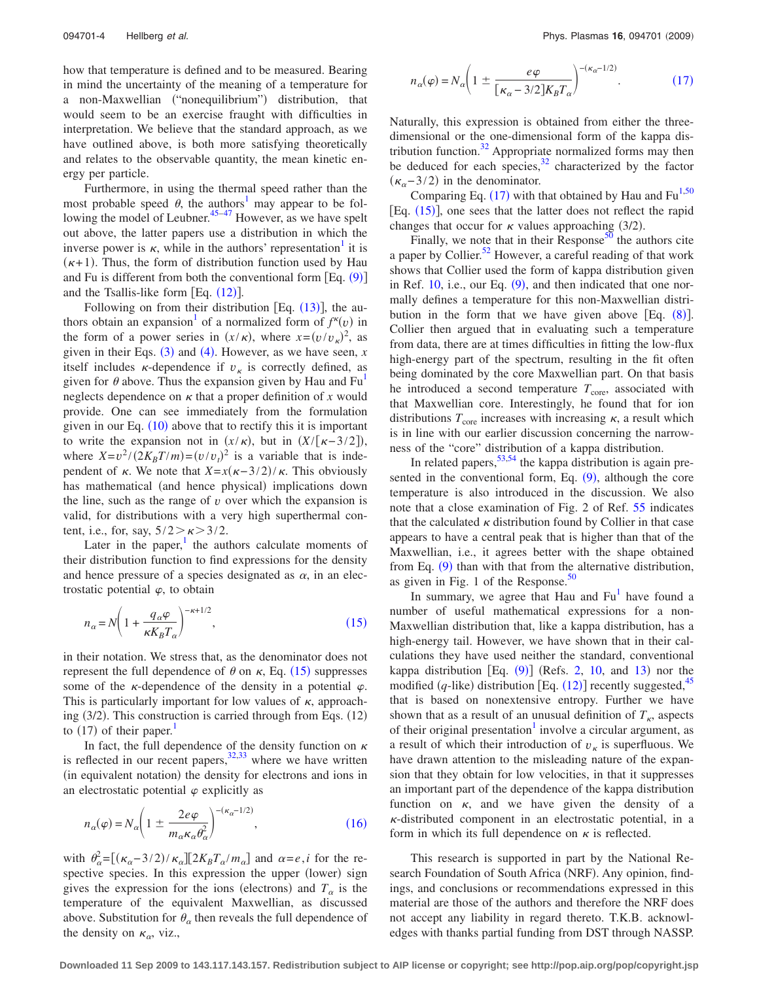how that temperature is defined and to be measured. Bearing in mind the uncertainty of the meaning of a temperature for a non-Maxwellian ("nonequilibrium") distribution, that would seem to be an exercise fraught with difficulties in interpretation. We believe that the standard approach, as we have outlined above, is both more satisfying theoretically and relates to the observable quantity, the mean kinetic energy per particle.

Furthermore, in using the thermal speed rather than the most probable speed  $\theta$ , the authors<sup>1</sup> may appear to be fol-lowing the model of Leubner.<sup>45–[47](#page-5-24)</sup> However, as we have spelt out above, the latter papers use a distribution in which the inverse power is  $\kappa$ , while in the authors' representation it is  $(\kappa+1)$ . Thus, the form of distribution function used by Hau and Fu is different from both the conventional form  $[Eq. (9)]$  $[Eq. (9)]$  $[Eq. (9)]$ and the Tsallis-like form  $[Eq. (12)].$  $[Eq. (12)].$  $[Eq. (12)].$ 

Following on from their distribution [Eq.  $(13)$  $(13)$  $(13)$ ], the authors obtain an expansion<sup>1</sup> of a normalized form of  $f^{\kappa}(v)$  in the form of a power series in  $(x/\kappa)$ , where  $x=(v/v_{\kappa})^2$ , as given in their Eqs.  $(3)$  $(3)$  $(3)$  and  $(4)$  $(4)$  $(4)$ . However, as we have seen, *x* itself includes  $\kappa$ -dependence if  $v_{\kappa}$  is correctly defined, as given for  $\theta$  above. Thus the expansion given by Hau and Fu<sup>1</sup> neglects dependence on  $\kappa$  that a proper definition of x would provide. One can see immediately from the formulation given in our Eq.  $(10)$  $(10)$  $(10)$  above that to rectify this it is important to write the expansion not in  $(x/\kappa)$ , but in  $(X/[\kappa-3/2])$ , where  $X = v^2/(2K_B T/m) = (v/v_t)^2$  is a variable that is independent of  $\kappa$ . We note that  $X = x(\kappa - 3/2)/\kappa$ . This obviously has mathematical (and hence physical) implications down the line, such as the range of  $v$  over which the expansion is valid, for distributions with a very high superthermal content, i.e., for, say,  $5/2 > \kappa > 3/2$ .

Later in the paper, $\frac{1}{1}$  the authors calculate moments of their distribution function to find expressions for the density and hence pressure of a species designated as  $\alpha$ , in an electrostatic potential  $\varphi$ , to obtain

<span id="page-4-0"></span>
$$
n_{\alpha} = N \left( 1 + \frac{q_{\alpha} \varphi}{\kappa K_B T_{\alpha}} \right)^{-\kappa + 1/2},\tag{15}
$$

in their notation. We stress that, as the denominator does not represent the full dependence of  $\theta$  on  $\kappa$ , Eq. ([15](#page-4-0)) suppresses some of the  $\kappa$ -dependence of the density in a potential  $\varphi$ . This is particularly important for low values of  $\kappa$ , approaching (3/2). This construction is carried through from Eqs. (12) to  $(17)$  of their paper.<sup>1</sup>

In fact, the full dependence of the density function on  $\kappa$ is reflected in our recent papers,  $32,33$  $32,33$  where we have written (in equivalent notation) the density for electrons and ions in an electrostatic potential  $\varphi$  explicitly as

<span id="page-4-1"></span>
$$
n_{\alpha}(\varphi) = N_{\alpha} \left( 1 \pm \frac{2e\varphi}{m_{\alpha} \kappa_{\alpha} \theta_{\alpha}^{2}} \right)^{-(\kappa_{\alpha}-1/2)}, \qquad (16)
$$

with  $\theta_{\alpha}^2 = [(\kappa_{\alpha} - 3/2)/\kappa_{\alpha}][2K_B T_{\alpha}/m_{\alpha}]$  and  $\alpha = e, i$  for the respective species. In this expression the upper (lower) sign gives the expression for the ions (electrons) and  $T_{\alpha}$  is the temperature of the equivalent Maxwellian, as discussed above. Substitution for  $\theta_{\alpha}$  then reveals the full dependence of the density on  $\kappa_{\alpha}$ , viz.,

<span id="page-4-2"></span>
$$
n_{\alpha}(\varphi) = N_{\alpha} \left( 1 \pm \frac{e\varphi}{\left[ \kappa_{\alpha} - 3/2 \right] K_{B} T_{\alpha}} \right)^{-(\kappa_{\alpha} - 1/2)}.
$$
 (17)

Naturally, this expression is obtained from either the threedimensional or the one-dimensional form of the kappa distribution function.<sup>32</sup> Appropriate normalized forms may then be deduced for each species, $32$  characterized by the factor  $(\kappa_{\alpha}$ -3/2) in the denominator.

Comparing Eq.  $(17)$  $(17)$  $(17)$  with that obtained by Hau and Fu<sup>1[,50](#page-5-28)</sup> [Eq.  $(15)$  $(15)$  $(15)$ ], one sees that the latter does not reflect the rapid changes that occur for  $\kappa$  values approaching (3/2).

Finally, we note that in their Response $50$  the authors cite a paper by Collier.<sup>52</sup> However, a careful reading of that work shows that Collier used the form of kappa distribution given in Ref.  $10$ , i.e., our Eq.  $(9)$  $(9)$  $(9)$ , and then indicated that one normally defines a temperature for this non-Maxwellian distribution in the form that we have given above [Eq.  $(8)$  $(8)$  $(8)$ ]. Collier then argued that in evaluating such a temperature from data, there are at times difficulties in fitting the low-flux high-energy part of the spectrum, resulting in the fit often being dominated by the core Maxwellian part. On that basis he introduced a second temperature  $T_{\text{core}}$ , associated with that Maxwellian core. Interestingly, he found that for ion distributions  $T_{\text{core}}$  increases with increasing  $\kappa$ , a result which is in line with our earlier discussion concerning the narrowness of the "core" distribution of a kappa distribution.

In related papers,  $53,54$  $53,54$  the kappa distribution is again presented in the conventional form, Eq.  $(9)$  $(9)$  $(9)$ , although the core temperature is also introduced in the discussion. We also note that a close examination of Fig. 2 of Ref. [55](#page-5-34) indicates that the calculated  $\kappa$  distribution found by Collier in that case appears to have a central peak that is higher than that of the Maxwellian, i.e., it agrees better with the shape obtained from Eq. ([9](#page-2-3)) than with that from the alternative distribution, as given in Fig. 1 of the Response. $50$ 

In summary, we agree that Hau and  $Fu<sup>1</sup>$  have found a number of useful mathematical expressions for a non-Maxwellian distribution that, like a kappa distribution, has a high-energy tail. However, we have shown that in their calculations they have used neither the standard, conventional kappa distribution  $[Eq. (9)]$  $[Eq. (9)]$  $[Eq. (9)]$  (Refs. [2,](#page-5-1) [10,](#page-5-4) and [13](#page-5-8)) nor the modified  $(q$ -like) distribution [Eq.  $(12)$  $(12)$  $(12)$ ] recently suggested,<sup>45</sup> that is based on nonextensive entropy. Further we have shown that as a result of an unusual definition of  $T_k$ , aspects of their original presentation<sup>1</sup> involve a circular argument, as a result of which their introduction of  $v_{\kappa}$  is superfluous. We have drawn attention to the misleading nature of the expansion that they obtain for low velocities, in that it suppresses an important part of the dependence of the kappa distribution function on  $\kappa$ , and we have given the density of a  $\kappa$ -distributed component in an electrostatic potential, in a form in which its full dependence on  $\kappa$  is reflected.

This research is supported in part by the National Research Foundation of South Africa (NRF). Any opinion, findings, and conclusions or recommendations expressed in this material are those of the authors and therefore the NRF does not accept any liability in regard thereto. T.K.B. acknowledges with thanks partial funding from DST through NASSP.

**Downloaded 11 Sep 2009 to 143.117.143.157. Redistribution subject to AIP license or copyright; see http://pop.aip.org/pop/copyright.jsp**